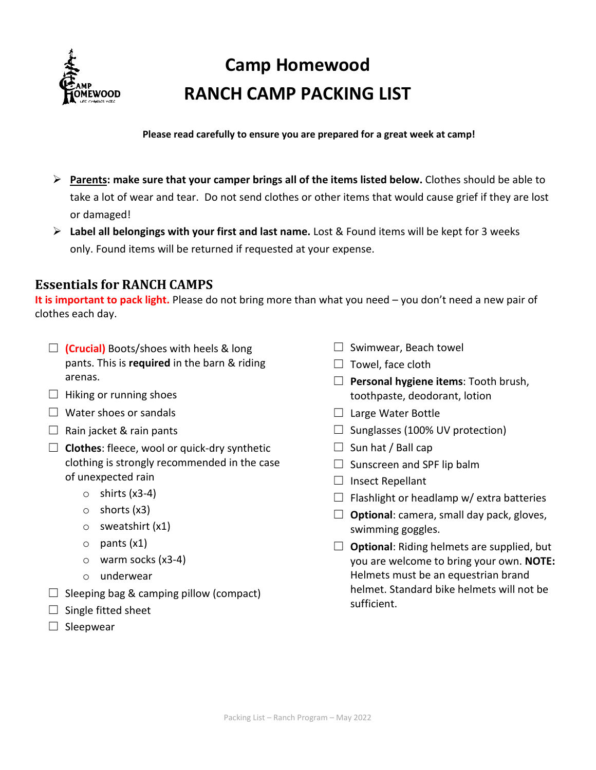

# **Camp Homewood RANCH CAMP PACKING LIST**

**Please read carefully to ensure you are prepared for a great week at camp!**

- **Parents: make sure that your camper brings all of the items listed below.** Clothes should be able to take a lot of wear and tear. Do not send clothes or other items that would cause grief if they are lost or damaged!
- **Label all belongings with your first and last name.** Lost & Found items will be kept for 3 weeks only. Found items will be returned if requested at your expense.

## **Essentials for RANCH CAMPS**

**It is important to pack light.** Please do not bring more than what you need – you don't need a new pair of clothes each day.

- ☐ **(Crucial)** Boots/shoes with heels & long pants. This is **required** in the barn & riding arenas.
- $\Box$  Hiking or running shoes
- $\Box$  Water shoes or sandals
- $\Box$  Rain jacket & rain pants
- ☐ **Clothes**: fleece, wool or quick-dry synthetic clothing is strongly recommended in the case of unexpected rain
	- $\circ$  shirts (x3-4)
	- o shorts (x3)
	- o sweatshirt (x1)
	- $\circ$  pants  $(x1)$
	- o warm socks (x3-4)
	- o underwear
- $\Box$  Sleeping bag & camping pillow (compact)
- $\Box$  Single fitted sheet
- $\square$  Sleepwear
- $\Box$  Swimwear, Beach towel
- $\Box$  Towel, face cloth
- ☐ **Personal hygiene items**: Tooth brush, toothpaste, deodorant, lotion
- $\Box$  Large Water Bottle
- $\Box$  Sunglasses (100% UV protection)
- $\Box$  Sun hat / Ball cap
- $\Box$  Sunscreen and SPF lip balm
- □ Insect Repellant
- $\Box$  Flashlight or headlamp w/ extra batteries
- $\Box$  **Optional**: camera, small day pack, gloves, swimming goggles.
- ☐ **Optional**: Riding helmets are supplied, but you are welcome to bring your own. **NOTE:** Helmets must be an equestrian brand helmet. Standard bike helmets will not be sufficient.